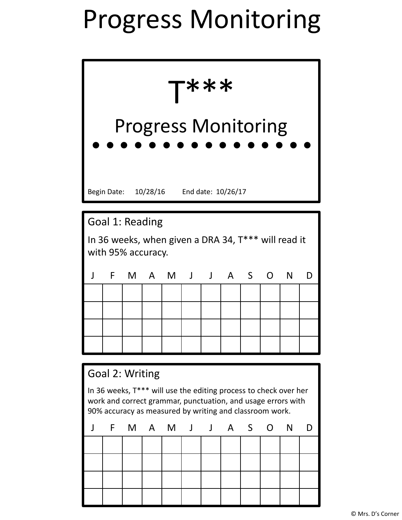## Progress Monitoring

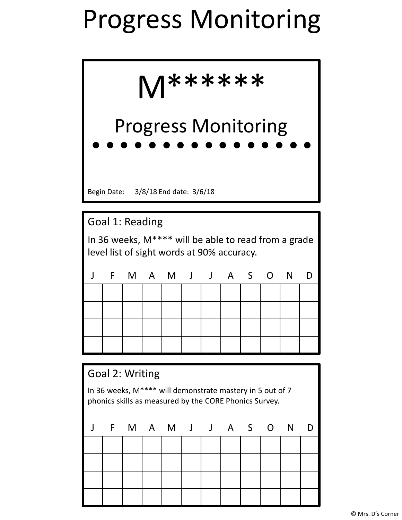## Progress Monitoring